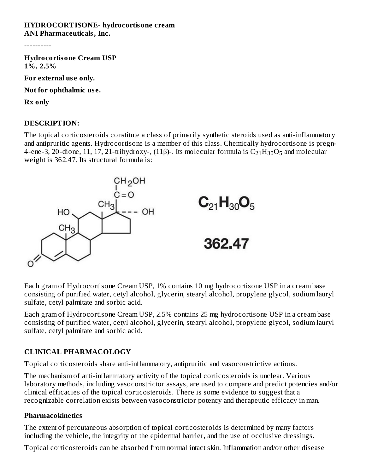#### **HYDROCORTISONE- hydrocortisone cream ANI Pharmaceuticals, Inc.**

----------

**Hydrocortisone Cream USP 1%, 2.5%**

**For external us e only.**

**Not for ophthalmic us e.**

**Rx only**

### **DESCRIPTION:**

The topical corticosteroids constitute a class of primarily synthetic steroids used as anti-inflammatory and antipruritic agents. Hydrocortisone is a member of this class. Chemically hydrocortisone is pregn-4-ene-3, 20-dione, 11, 17, 21-trihydroxy-, (11β)-. Its molecular formula is  $\rm{C}_{21}\rm{H}_{30}\rm{O}_{5}$  and molecular weight is 362.47. Its structural formula is:



Each gram of Hydrocortisone Cream USP, 1% contains 10 mg hydrocortisone USP in a cream base consisting of purified water, cetyl alcohol, glycerin, stearyl alcohol, propylene glycol, sodium lauryl sulfate, cetyl palmitate and sorbic acid.

Each gram of Hydrocortisone Cream USP, 2.5% contains 25 mg hydrocortisone USP in a cream base consisting of purified water, cetyl alcohol, glycerin, stearyl alcohol, propylene glycol, sodium lauryl sulfate, cetyl palmitate and sorbic acid.

### **CLINICAL PHARMACOLOGY**

Topical corticosteroids share anti-inflammatory, antipruritic and vasoconstrictive actions.

The mechanism of anti-inflammatory activity of the topical corticosteroids is unclear. Various laboratory methods, including vasoconstrictor assays, are used to compare and predict potencies and/or clinical efficacies of the topical corticosteroids. There is some evidence to suggest that a recognizable correlation exists between vasoconstrictor potency and therapeutic efficacy in man.

### **Pharmacokinetics**

The extent of percutaneous absorption of topical corticosteroids is determined by many factors including the vehicle, the integrity of the epidermal barrier, and the use of occlusive dressings.

Topical corticosteroids can be absorbed from normal intact skin. Inflammation and/or other disease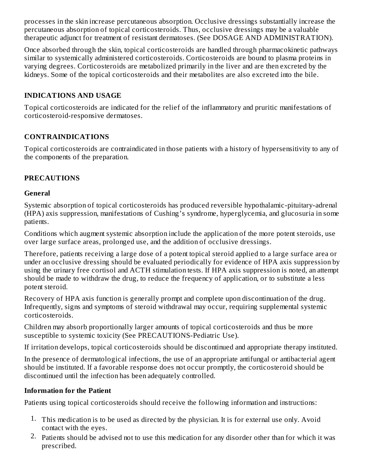processes in the skin increase percutaneous absorption. Occlusive dressings substantially increase the percutaneous absorption of topical corticosteroids. Thus, occlusive dressings may be a valuable therapeutic adjunct for treatment of resistant dermatoses. (See DOSAGE AND ADMINISTRATION).

Once absorbed through the skin, topical corticosteroids are handled through pharmacokinetic pathways similar to systemically administered corticosteroids. Corticosteroids are bound to plasma proteins in varying degrees. Corticosteroids are metabolized primarily in the liver and are then excreted by the kidneys. Some of the topical corticosteroids and their metabolites are also excreted into the bile.

### **INDICATIONS AND USAGE**

Topical corticosteroids are indicated for the relief of the inflammatory and pruritic manifestations of corticosteroid-responsive dermatoses.

# **CONTRAINDICATIONS**

Topical corticosteroids are contraindicated in those patients with a history of hypersensitivity to any of the components of the preparation.

### **PRECAUTIONS**

### **General**

Systemic absorption of topical corticosteroids has produced reversible hypothalamic-pituitary-adrenal (HPA) axis suppression, manifestations of Cushing's syndrome, hyperglycemia, and glucosuria in some patients.

Conditions which augment systemic absorption include the application of the more potent steroids, use over large surface areas, prolonged use, and the addition of occlusive dressings.

Therefore, patients receiving a large dose of a potent topical steroid applied to a large surface area or under an occlusive dressing should be evaluated periodically for evidence of HPA axis suppression by using the urinary free cortisol and ACTH stimulation tests. If HPA axis suppression is noted, an attempt should be made to withdraw the drug, to reduce the frequency of application, or to substitute a less potent steroid.

Recovery of HPA axis function is generally prompt and complete upon discontinuation of the drug. Infrequently, signs and symptoms of steroid withdrawal may occur, requiring supplemental systemic corticosteroids.

Children may absorb proportionally larger amounts of topical corticosteroids and thus be more susceptible to systemic toxicity (See PRECAUTIONS-Pediatric Use).

If irritation develops, topical corticosteroids should be discontinued and appropriate therapy instituted.

In the presence of dermatological infections, the use of an appropriate antifungal or antibacterial agent should be instituted. If a favorable response does not occur promptly, the corticosteroid should be discontinued until the infection has been adequately controlled.

### **Information for the Patient**

Patients using topical corticosteroids should receive the following information and instructions:

- 1. This medication is to be used as directed by the physician. It is for external use only. Avoid contact with the eyes.
- 2. Patients should be advised not to use this medication for any disorder other than for which it was prescribed.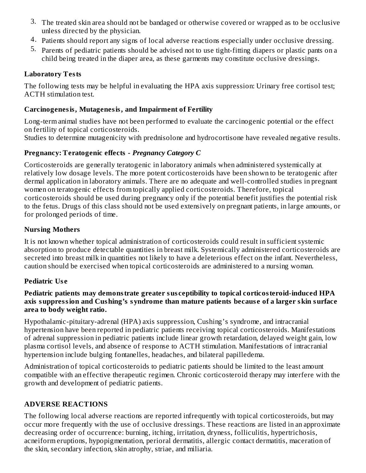- 3. The treated skin area should not be bandaged or otherwise covered or wrapped as to be occlusive unless directed by the physician.
- 4. Patients should report any signs of local adverse reactions especially under occlusive dressing.
- 5. Parents of pediatric patients should be advised not to use tight-fitting diapers or plastic pants on a child being treated in the diaper area, as these garments may constitute occlusive dressings.

### **Laboratory Tests**

The following tests may be helpful in evaluating the HPA axis suppression: Urinary free cortisol test; ACTH stimulation test.

# **Carcinogenesis, Mutagenesis, and Impairment of Fertility**

Long-term animal studies have not been performed to evaluate the carcinogenic potential or the effect on fertility of topical corticosteroids.

Studies to determine mutagenicity with prednisolone and hydrocortisone have revealed negative results.

# **Pregnancy: Teratogenic effects -** *Pregnancy Category C*

Corticosteroids are generally teratogenic in laboratory animals when administered systemically at relatively low dosage levels. The more potent corticosteroids have been shown to be teratogenic after dermal application in laboratory animals. There are no adequate and well-controlled studies in pregnant women on teratogenic effects from topically applied corticosteroids. Therefore, topical corticosteroids should be used during pregnancy only if the potential benefit justifies the potential risk to the fetus. Drugs of this class should not be used extensively on pregnant patients, in large amounts, or for prolonged periods of time.

# **Nursing Mothers**

It is not known whether topical administration of corticosteroids could result in sufficient systemic absorption to produce detectable quantities in breast milk. Systemically administered corticosteroids are secreted into breast milk in quantities not likely to have a deleterious effect on the infant. Nevertheless, caution should be exercised when topical corticosteroids are administered to a nursing woman.

# **Pediatric Us e**

### **Pediatric patients may demonstrate greater sus ceptibility to topical corticosteroid-induced HPA axis suppression and Cushing's syndrome than mature patients becaus e of a larger skin surface area to body weight ratio.**

Hypothalamic-pituitary-adrenal (HPA) axis suppression, Cushing's syndrome, and intracranial hypertension have been reported in pediatric patients receiving topical corticosteroids. Manifestations of adrenal suppression in pediatric patients include linear growth retardation, delayed weight gain, low plasma cortisol levels, and absence of response to ACTH stimulation. Manifestations of intracranial hypertension include bulging fontanelles, headaches, and bilateral papilledema.

Administration of topical corticosteroids to pediatric patients should be limited to the least amount compatible with an effective therapeutic regimen. Chronic corticosteroid therapy may interfere with the growth and development of pediatric patients.

# **ADVERSE REACTIONS**

The following local adverse reactions are reported infrequently with topical corticosteroids, but may occur more frequently with the use of occlusive dressings. These reactions are listed in an approximate decreasing order of occurrence: burning, itching, irritation, dryness, folliculitis, hypertrichosis, acneiform eruptions, hypopigmentation, perioral dermatitis, allergic contact dermatitis, maceration of the skin, secondary infection, skin atrophy, striae, and miliaria.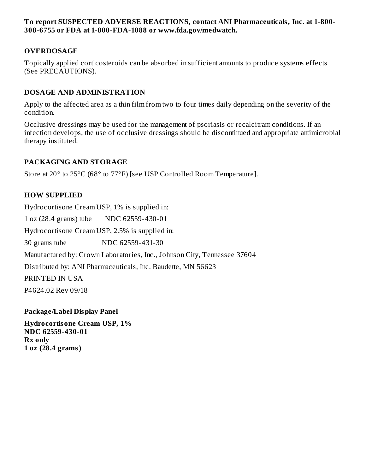#### **To report SUSPECTED ADVERSE REACTIONS, contact ANI Pharmaceuticals, Inc. at 1-800- 308-6755 or FDA at 1-800-FDA-1088 or www.fda.gov/medwatch.**

### **OVERDOSAGE**

Topically applied corticosteroids can be absorbed in sufficient amounts to produce systems effects (See PRECAUTIONS).

#### **DOSAGE AND ADMINISTRATION**

Apply to the affected area as a thin film from two to four times daily depending on the severity of the condition.

Occlusive dressings may be used for the management of psoriasis or recalcitrant conditions. If an infection develops, the use of occlusive dressings should be discontinued and appropriate antimicrobial therapy instituted.

#### **PACKAGING AND STORAGE**

Store at 20° to 25°C (68° to 77°F) [see USP Controlled Room Temperature].

### **HOW SUPPLIED**

Hydrocortisone Cream USP, 1% is supplied in: 1 oz (28.4 grams) tube NDC 62559-430-01 Hydrocortisone Cream USP, 2.5% is supplied in: 30 grams tube NDC 62559-431-30 Manufactured by: Crown Laboratories, Inc., Johnson City, Tennessee 37604 Distributed by: ANI Pharmaceuticals, Inc. Baudette, MN 56623 PRINTED IN USA P4624.02 Rev 09/18

### **Package/Label Display Panel**

**Hydrocortisone Cream USP, 1% NDC 62559-430-01 Rx only 1 oz (28.4 grams)**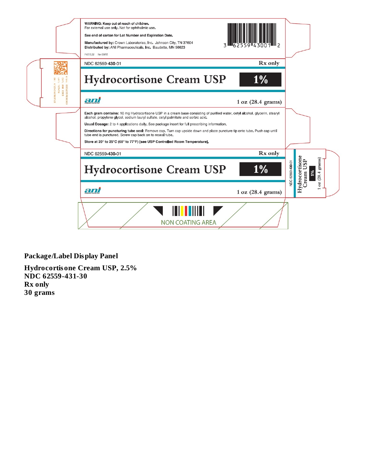

**Package/Label Display Panel**

**Hydrocortisone Cream USP, 2.5% NDC 62559-431-30 Rx only 30 grams**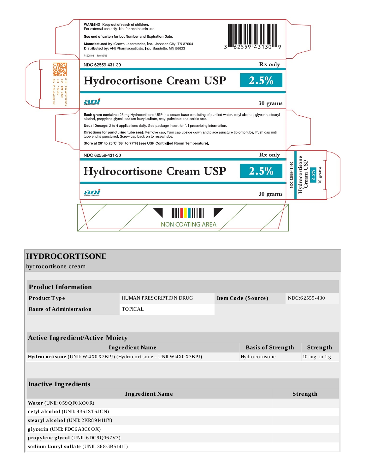|                                                             | WARNING: Keep out of reach of children.<br>For external use only. Not for ophthalmic use.<br>See end of carton for Lot Number and Expiration Date.<br>Manufactured by: Crown Laboratories, Inc. Johnson City, TN 37604<br>Distributed by: ANI Pharmaceuticals, Inc. Baudette, MN 56623<br>P4625.02 Rev 09/18<br>NDC 62559-431-30                                                                                                                                                                                                                                                      | Rx only        |                                                                     |
|-------------------------------------------------------------|---------------------------------------------------------------------------------------------------------------------------------------------------------------------------------------------------------------------------------------------------------------------------------------------------------------------------------------------------------------------------------------------------------------------------------------------------------------------------------------------------------------------------------------------------------------------------------------|----------------|---------------------------------------------------------------------|
| <b>ETIM: 00362559000000</b><br>EXP: MMM 0000<br>LOT: 123456 | <b>Hydrocortisone Cream USP</b>                                                                                                                                                                                                                                                                                                                                                                                                                                                                                                                                                       | 2.5%           |                                                                     |
| 234567890123                                                | ani                                                                                                                                                                                                                                                                                                                                                                                                                                                                                                                                                                                   | 30 grams       |                                                                     |
|                                                             | Each gram contains: 25 mg Hydrocortisone USP in a cream base consisting of purified water, cetyl alcohol, glycerin, stearyl<br>alcohol, propylene glycol, sodium lauryl sulfate, cetyl palmitate and sorbic acid.<br>Usual Dosage: 2 to 4 applications daily. See package insert for full prescribing information.<br>Directions for puncturing tube seal: Remove cap. Turn cap upside down and place puncture tip onto tube. Push cap until<br>tube end is punctured. Screw cap back on to reseal tube.<br>Store at 20° to 25°C (68° to 77°F) [see USP Controlled Room Temperature]. |                |                                                                     |
|                                                             | NDC 62559-431-30                                                                                                                                                                                                                                                                                                                                                                                                                                                                                                                                                                      | <b>Rx</b> only |                                                                     |
|                                                             | <b>Hydrocortisone Cream USP</b>                                                                                                                                                                                                                                                                                                                                                                                                                                                                                                                                                       | 2.5%           | Hydrocortisone<br>Cream USP<br>NDC 62559-431-30<br>30 grams<br>2.5% |
|                                                             | ani                                                                                                                                                                                                                                                                                                                                                                                                                                                                                                                                                                                   | 30 grams       |                                                                     |
|                                                             | <b>NON COATING AREA</b>                                                                                                                                                                                                                                                                                                                                                                                                                                                                                                                                                               |                |                                                                     |

| <b>HYDROCORTISONE</b>                                                |                         |  |                          |                |
|----------------------------------------------------------------------|-------------------------|--|--------------------------|----------------|
| hydrocortisone cream                                                 |                         |  |                          |                |
|                                                                      |                         |  |                          |                |
| <b>Product Information</b>                                           |                         |  |                          |                |
| Product Type                                                         | HUMAN PRESCRIPTION DRUG |  | Item Code (Source)       | NDC:62559-430  |
| <b>Route of Administration</b>                                       | <b>TOPICAL</b>          |  |                          |                |
|                                                                      |                         |  |                          |                |
|                                                                      |                         |  |                          |                |
| <b>Active Ingredient/Active Moiety</b>                               |                         |  |                          |                |
|                                                                      | <b>Ingredient Name</b>  |  | <b>Basis of Strength</b> | Strength       |
| Hydrocortisone (UNII: WI4X0X7BPJ) (Hydrocortisone - UNII:WI4X0X7BPJ) |                         |  | Hydrocortisone           | 10 mg in $1 g$ |
|                                                                      |                         |  |                          |                |
|                                                                      |                         |  |                          |                |
| <b>Inactive Ingredients</b>                                          |                         |  |                          |                |
|                                                                      | <b>Ingredient Name</b>  |  |                          | Strength       |
| Water (UNII: 059QF0KO0R)                                             |                         |  |                          |                |
| cetyl alcohol (UNII: 936JST6JCN)                                     |                         |  |                          |                |
| stearyl alcohol (UNII: 2KR89I4H1Y)                                   |                         |  |                          |                |
| glycerin (UNII: PDC6A3C0OX)                                          |                         |  |                          |                |
| propylene glycol (UNII: 6DC9Q167V3)                                  |                         |  |                          |                |
| sodium lauryl sulfate (UNII: 368GB5141J)                             |                         |  |                          |                |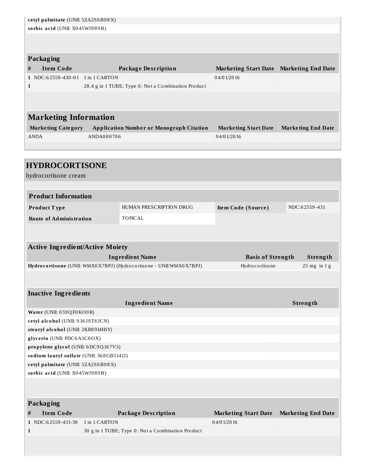| cetyl palmitate (UNII: 5ZA2S6B08X) |                                |               |                                                     |                             |                                           |  |  |
|------------------------------------|--------------------------------|---------------|-----------------------------------------------------|-----------------------------|-------------------------------------------|--|--|
| sorbic acid (UNII: X045WJ989B)     |                                |               |                                                     |                             |                                           |  |  |
|                                    |                                |               |                                                     |                             |                                           |  |  |
|                                    |                                |               |                                                     |                             |                                           |  |  |
|                                    | Packaging                      |               |                                                     |                             |                                           |  |  |
| #                                  | <b>Item Code</b>               |               | <b>Package Description</b>                          |                             | Marketing Start Date   Marketing End Date |  |  |
|                                    | $1$ NDC:62559-430-01           | 1 in 1 CARTON |                                                     | 04/01/2016                  |                                           |  |  |
| $\mathbf{1}$                       |                                |               | 28.4 g in 1 TUBE; Type 0: Not a Combination Product |                             |                                           |  |  |
|                                    |                                |               |                                                     |                             |                                           |  |  |
|                                    |                                |               |                                                     |                             |                                           |  |  |
|                                    | <b>Marketing Information</b>   |               |                                                     |                             |                                           |  |  |
|                                    |                                |               |                                                     |                             |                                           |  |  |
|                                    |                                |               |                                                     |                             |                                           |  |  |
|                                    | <b>Marketing Category</b>      |               | <b>Application Number or Monograph Citation</b>     | <b>Marketing Start Date</b> | <b>Marketing End Date</b>                 |  |  |
|                                    | <b>ANDA</b>                    | ANDA080706    |                                                     | 04/01/2016                  |                                           |  |  |
|                                    |                                |               |                                                     |                             |                                           |  |  |
|                                    |                                |               |                                                     |                             |                                           |  |  |
|                                    | <b>HYDROCORTISONE</b>          |               |                                                     |                             |                                           |  |  |
|                                    | hydrocortisone cream           |               |                                                     |                             |                                           |  |  |
|                                    |                                |               |                                                     |                             |                                           |  |  |
|                                    | <b>Product Information</b>     |               |                                                     |                             |                                           |  |  |
|                                    | Product Type                   |               | HUMAN PRESCRIPTION DRUG                             | Item Code (Source)          | NDC:62559-431                             |  |  |
|                                    | <b>Route of Administration</b> |               | <b>TOPICAL</b>                                      |                             |                                           |  |  |

| <b>Active Ingredient/Active Moiety</b>                               |                          |                        |  |
|----------------------------------------------------------------------|--------------------------|------------------------|--|
| Ingredient Name                                                      | <b>Basis of Strength</b> | Strength               |  |
| Hydrocortisone (UNII: WI4X0X7BPJ) (Hydrocortisone - UNII:WI4X0X7BPJ) | Hydro cortisone          | $25 \text{ mg}$ in 1 g |  |

| <b>Inactive Ingredients</b>              |          |  |  |  |
|------------------------------------------|----------|--|--|--|
| <b>Ingredient Name</b>                   | Strength |  |  |  |
| <b>Water</b> (UNII: $059QF0KO0R$ )       |          |  |  |  |
| cetyl alcohol (UNII: 936JST6JCN)         |          |  |  |  |
| stearyl alcohol (UNII: 2KR89I4H1Y)       |          |  |  |  |
| glycerin (UNII: $PDC6A3C0OX$ )           |          |  |  |  |
| propylene glycol (UNII: 6DC9Q167V3)      |          |  |  |  |
| sodium lauryl sulfate (UNII: 368GB5141J) |          |  |  |  |
| cetyl palmitate (UNII: 5ZA2S6B08X)       |          |  |  |  |
| sorbic acid (UNII: X045WJ989B)           |          |  |  |  |

| <b>Packaging</b> |                    |                                                   |                             |                           |  |
|------------------|--------------------|---------------------------------------------------|-----------------------------|---------------------------|--|
|                  | Item Code          | <b>Package Description</b>                        | <b>Marketing Start Date</b> | <b>Marketing End Date</b> |  |
|                  | 1 NDC:62559-431-30 | $\vert$ 1 in 1 CARTON                             | 04/01/2016                  |                           |  |
|                  |                    | 30 g in 1 TUBE; Type 0: Not a Combination Product |                             |                           |  |
|                  |                    |                                                   |                             |                           |  |